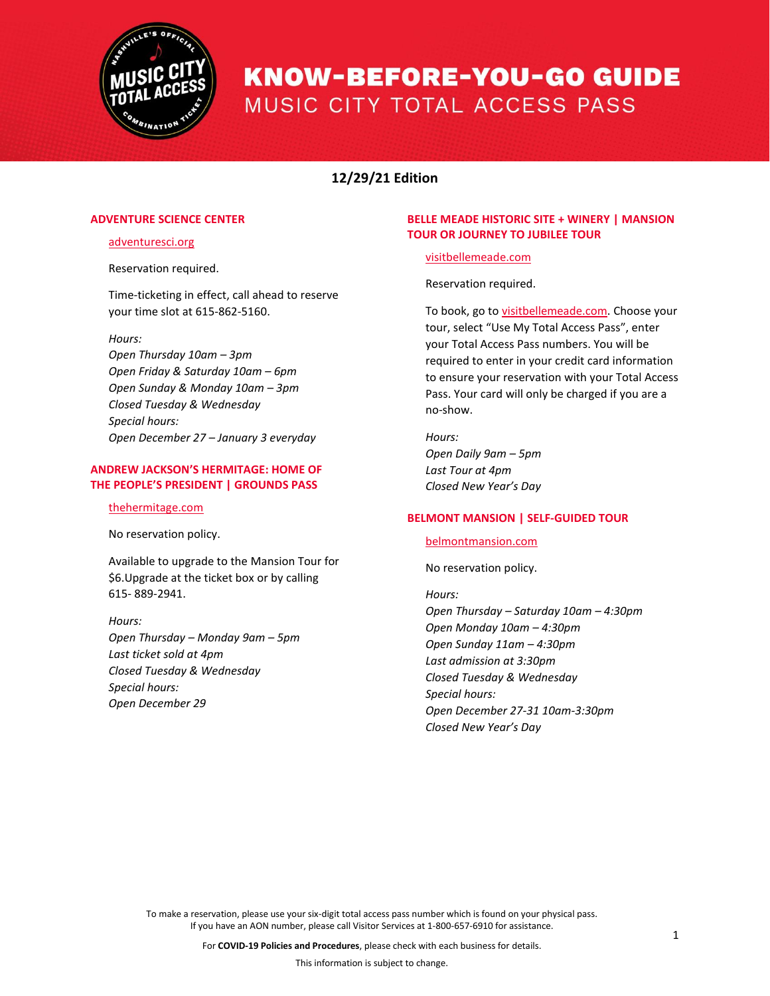

# **12/29/21 Edition**

# **ADVENTURE SCIENCE CENTER**

## [adventuresci.org](https://www.adventuresci.org/)

Reservation required.

Time-ticketing in effect, call ahead to reserve your time slot at 615-862-5160.

#### *Hours:*

*Open Thursday 10am – 3pm Open Friday & Saturday 10am – 6pm Open Sunday & Monday 10am – 3pm Closed Tuesday & Wednesday Special hours: Open December 27 – January 3 everyday*

# **ANDREW JACKSON'S HERMITAGE: HOME OF THE PEOPLE'S PRESIDENT | GROUNDS PASS**

#### [thehermitage.com](https://thehermitage.com/)

No reservation policy.

Available to upgrade to the Mansion Tour for \$6.Upgrade at the ticket box or by calling 615- [889-2941.](https://www.google.com/search?q=andrew+jackson%27s+hermitage&rlz=1C1CHBF_enUS834US834&oq=andrew+ja&aqs=chrome.0.69i59j46j69i57j46l3j0j69i61.3404j1j7&sourceid=chrome&ie=UTF-8) 

## *Hours:*

*Open Thursday – Monday 9am – 5pm Last ticket sold at 4pm Closed Tuesday & Wednesday Special hours: Open December 29*

## **BELLE MEADE HISTORIC SITE + WINERY | MANSION TOUR OR JOURNEY TO JUBILEE TOUR**

### [visitbellemeade.com](https://visitbellemeade.com/)

Reservation required.

To book, go to visitbellemeade.com. Choose your tour, select "Use My Total Access Pass", enter your Total Access Pass numbers. You will be required to enter in your credit card information to ensure your reservation with your Total Access Pass. Your card will only be charged if you are a no-show.

*Hours: Open Daily 9am – 5pm Last Tour at 4pm Closed New Year's Day*

# **BELMONT MANSION | SELF-GUIDED TOUR**

[belmontmansion.com](https://www.belmontmansion.com/)

No reservation policy.

*Hours: Open Thursday – Saturday 10am – 4:30pm Open Monday 10am – 4:30pm Open Sunday 11am – 4:30pm Last admission at 3:30pm Closed Tuesday & Wednesday Special hours: Open December 27-31 10am-3:30pm Closed New Year's Day*

To make a reservation, please use your six-digit total access pass number which is found on your physical pass. If you have an AON number, please call Visitor Services at 1-800-657-6910 for assistance.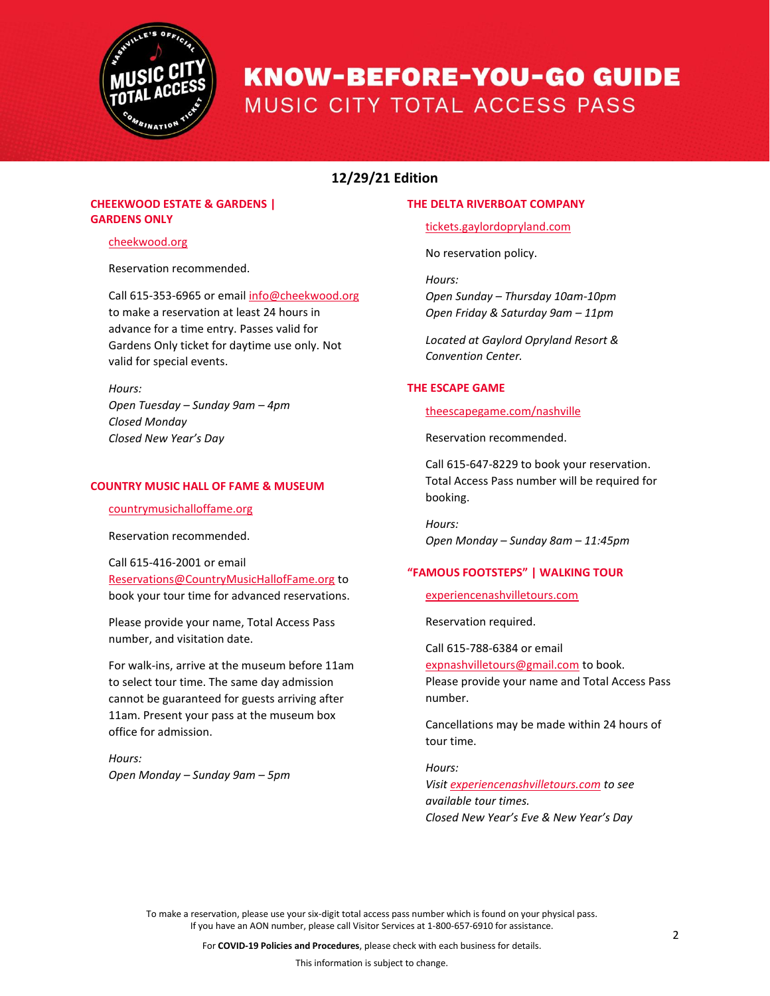

# **12/29/21 Edition**

# **CHEEKWOOD ESTATE & GARDENS | GARDENS ONLY**

# [cheekwood.org](https://cheekwood.org/)

Reservation recommended.

Call 615-353-6965 or email [info@cheekwood.org](mailto:info@cheekwood.org)  to make a reservation at least 24 hours in advance for a time entry. Passes valid for Gardens Only ticket for daytime use only. Not valid for special events.

*Hours: Open Tuesday – Sunday 9am – 4pm Closed Monday Closed New Year's Day*

## **COUNTRY MUSIC HALL OF FAME & MUSEUM**

[countrymusichalloffame.org](https://countrymusichalloffame.org/)

Reservation recommended.

Call 615-416-2001 or email [Reservations@CountryMusicHallofFame.org](mailto:Reservations@CountryMusicHallofFame.org) to book your tour time for advanced reservations.

Please provide your name, Total Access Pass number, and visitation date.

For walk-ins, arrive at the museum before 11am to select tour time. The same day admission cannot be guaranteed for guests arriving after 11am. Present your pass at the museum box office for admission.

*Hours: Open Monday – Sunday 9am – 5pm*

## **THE DELTA RIVERBOAT COMPANY**

[tickets.gaylordopryland.com](https://tickets.gaylordopryland.com/eventperformances.asp?evt=54)

No reservation policy.

*Hours: Open Sunday – Thursday 10am-10pm Open Friday & Saturday 9am – 11pm*

*Located at Gaylord Opryland Resort & Convention Center.* 

## **THE ESCAPE GAME**

[theescapegame.com/nashville](https://theescapegame.com/nashville/)

Reservation recommended.

Call 615-647-8229 to book your reservation. Total Access Pass number will be required for booking.

*Hours: Open Monday – Sunday 8am – 11:45pm*

# **"FAMOUS FOOTSTEPS" | WALKING TOUR**

[experiencenashvilletours.com](http://experiencenashvilletours.com/)

Reservation required.

Call 615-788-6384 or email [expnashvilletours@gmail.com](mailto:expnashvilletours@gmail.com) to book. Please provide your name and Total Access Pass number.

Cancellations may be made within 24 hours of tour time.

*Hours: Visit [experiencenashvilletours.com](http://experiencenashvilletours.com/) to see available tour times. Closed New Year's Eve & New Year's Day*

To make a reservation, please use your six-digit total access pass number which is found on your physical pass. If you have an AON number, please call Visitor Services at 1-800-657-6910 for assistance.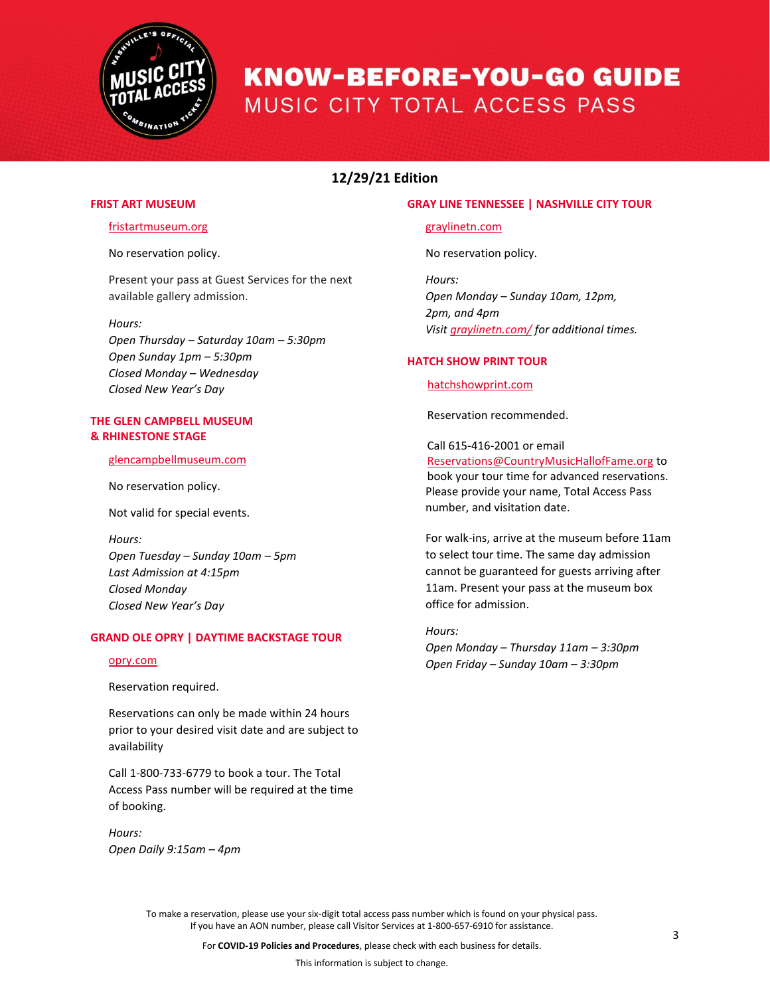

# **12/29/21 Edition**

## **FRIST ART MUSEUM**

## [fristartmuseum.org](https://fristartmuseum.org/)

No reservation policy.

Present your pass at Guest Services for the next available gallery admission.

#### *Hours:*

*Open Thursday – Saturday 10am – 5:30pm Open Sunday 1pm – 5:30pm Closed Monday – Wednesday Closed New Year's Day*

## **THE GLEN CAMPBELL MUSEUM & RHINESTONE STAGE**

#### [glencampbellmuseum.com](https://www.glencampbellmuseum.com/)

No reservation policy.

Not valid for special events.

*Hours: Open Tuesday – Sunday 10am – 5pm Last Admission at 4:15pm Closed Monday Closed New Year's Day*

## **GRAND OLE OPRY | DAYTIME BACKSTAGE TOUR**

#### [opry.com](https://www.opry.com/)

Reservation required.

Reservations can only be made within 24 hours prior to your desired visit date and are subject to availability

Call 1-800-733-6779 to book a tour. The Total Access Pass number will be required at the time of booking.

*Hours: Open Daily 9:15am – 4pm* 

## **GRAY LINE TENNESSEE | NASHVILLE CITY TOUR**

[graylinetn.com](https://graylinetn.com/)

No reservation policy.

*Hours: Open Monday – Sunday 10am, 12pm, 2pm, and 4pm Visit [graylinetn.com/](https://graylinetn.com/tour/the-nashville-city-tour/) for additional times.*

## **HATCH SHOW PRINT TOUR**

[hatchshowprint.com](https://hatchshowprint.com/)

Reservation recommended.

Call 615-416-2001 or email [Reservations@CountryMusicHallofFame.org](mailto:Reservations@CountryMusicHallofFame.org) to book your tour time for advanced reservations. Please provide your name, Total Access Pass number, and visitation date.

For walk-ins, arrive at the museum before 11am to select tour time. The same day admission cannot be guaranteed for guests arriving after 11am. Present your pass at the museum box office for admission.

*Hours: Open Monday – Thursday 11am – 3:30pm Open Friday – Sunday 10am – 3:30pm*

To make a reservation, please use your six-digit total access pass number which is found on your physical pass. If you have an AON number, please call Visitor Services at 1-800-657-6910 for assistance.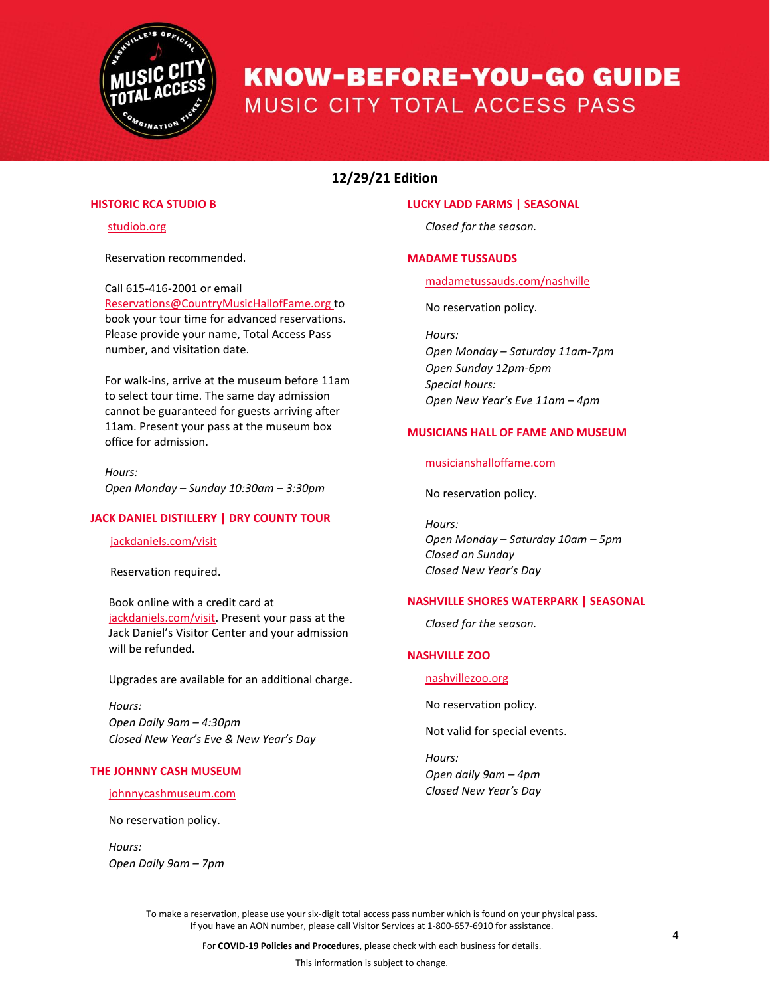

# **12/29/21 Edition**

# **HISTORIC RCA STUDIO B**

[studiob.org](https://studiob.org/)

Reservation recommended.

## Call 615-416-2001 or email

[Reservations@CountryMusicHallofFame.org](mailto:Reservations@CountryMusicHallofFame.org) to book your tour time for advanced reservations. Please provide your name, Total Access Pass number, and visitation date.

For walk-ins, arrive at the museum before 11am to select tour time. The same day admission cannot be guaranteed for guests arriving after 11am. Present your pass at the museum box office for admission.

*Hours: Open Monday – Sunday 10:30am – 3:30pm*

# **JACK DANIEL DISTILLERY | DRY COUNTY TOUR**

[jackdaniels.com/visit](http://www.jackdaniels.com/visit)

Reservation required.

Book online with a credit card at [jackdaniels.com/visit.](http://www.jackdaniels.com/visit) Present your pass at the Jack Daniel's Visitor Center and your admission will be refunded.

Upgrades are available for an additional charge.

*Hours: Open Daily 9am – 4:30pm Closed New Year's Eve & New Year's Day*

## **THE JOHNNY CASH MUSEUM**

[johnnycashmuseum.com](https://www.johnnycashmuseum.com/)

No reservation policy.

*Hours: Open Daily 9am – 7pm*

#### **LUCKY LADD FARMS | SEASONAL**

*Closed for the season.*

## **MADAME TUSSAUDS**

[madametussauds.com/nashville](https://www.madametussauds.com/nashville/)

No reservation policy.

*Hours:* 

*Open Monday – Saturday 11am-7pm Open Sunday 12pm-6pm Special hours: Open New Year's Eve 11am – 4pm*

## **MUSICIANS HALL OF FAME AND MUSEUM**

[musicianshalloffame.com](https://www.musicianshalloffame.com/)

No reservation policy.

*Hours: Open Monday – Saturday 10am – 5pm Closed on Sunday Closed New Year's Day*

## **NASHVILLE SHORES WATERPARK | SEASONAL**

*Closed for the season.* 

# **NASHVILLE ZOO**

[nashvillezoo.org](https://www.nashvillezoo.org/)

No reservation policy.

Not valid for special events.

*Hours: Open daily 9am – 4pm Closed New Year's Day*

To make a reservation, please use your six-digit total access pass number which is found on your physical pass. If you have an AON number, please call Visitor Services at 1-800-657-6910 for assistance.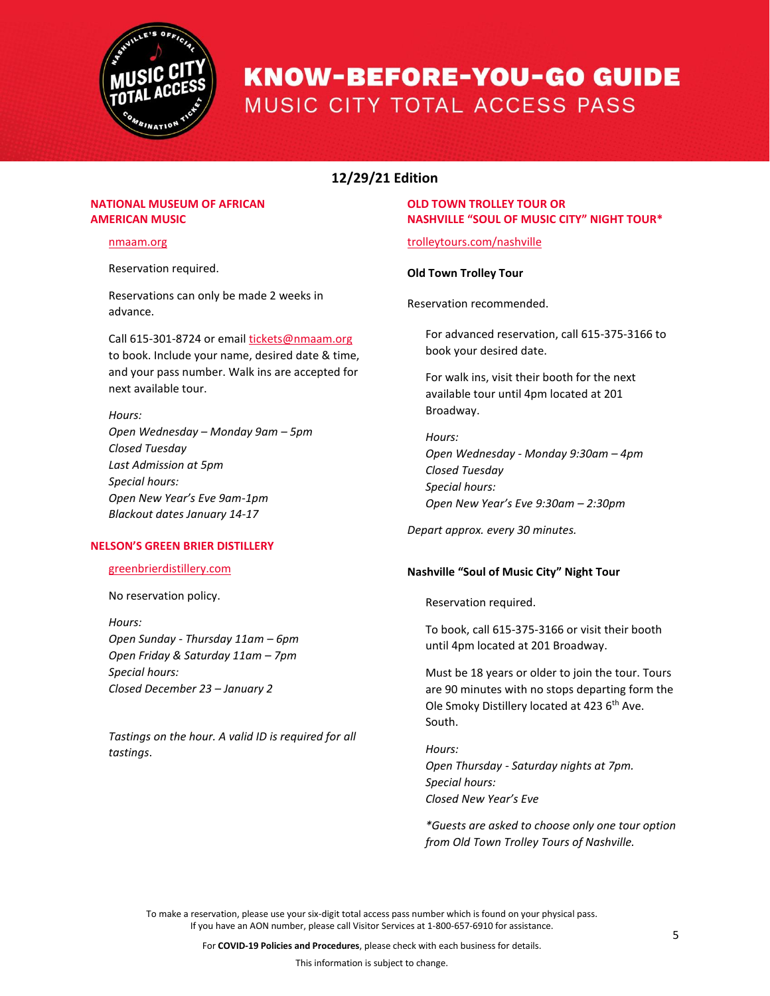

# **12/29/21 Edition**

# **NATIONAL MUSEUM OF AFRICAN AMERICAN MUSIC**

#### [nmaam.org](https://nmaam.org/)

Reservation required.

Reservations can only be made 2 weeks in advance.

## Call 615-301-8724 or email [tickets@nmaam.org](mailto:tickets@nmaam.org)

to book. Include your name, desired date & time, and your pass number. Walk ins are accepted for next available tour.

## *Hours:*

*Open Wednesday – Monday 9am – 5pm Closed Tuesday Last Admission at 5pm Special hours: Open New Year's Eve 9am-1pm Blackout dates January 14-17*

## **NELSON'S GREEN BRIER DISTILLERY**

## [greenbrierdistillery.com](https://greenbrierdistillery.com/)

## No reservation policy.

*Hours: Open Sunday - Thursday 11am – 6pm Open Friday & Saturday 11am – 7pm Special hours: Closed December 23 – January 2*

*Tastings on the hour. A valid ID is required for all tastings*.

# **OLD TOWN TROLLEY TOUR OR NASHVILLE "SOUL OF MUSIC CITY" NIGHT TOUR\***

# [trolleytours.com/nashville](https://www.trolleytours.com/nashville)

## **Old Town Trolley Tour**

Reservation recommended.

For advanced reservation, call 615-375-3166 to book your desired date.

For walk ins, visit their booth for the next available tour until 4pm located at 201 Broadway.

*Hours: Open Wednesday - Monday 9:30am – 4pm Closed Tuesday Special hours: Open New Year's Eve 9:30am – 2:30pm*

*Depart approx. every 30 minutes.*

## **Nashville "Soul of Music City" Night Tour**

Reservation required.

To book, call 615-375-3166 or visit their booth until 4pm located at 201 Broadway.

Must be 18 years or older to join the tour. Tours are 90 minutes with no stops departing form the Ole Smoky Distillery located at 423 6<sup>th</sup> Ave. South.

*Hours: Open Thursday - Saturday nights at 7pm. Special hours: Closed New Year's Eve* 

*\*Guests are asked to choose only one tour option from Old Town Trolley Tours of Nashville.*

To make a reservation, please use your six-digit total access pass number which is found on your physical pass. If you have an AON number, please call Visitor Services at 1-800-657-6910 for assistance.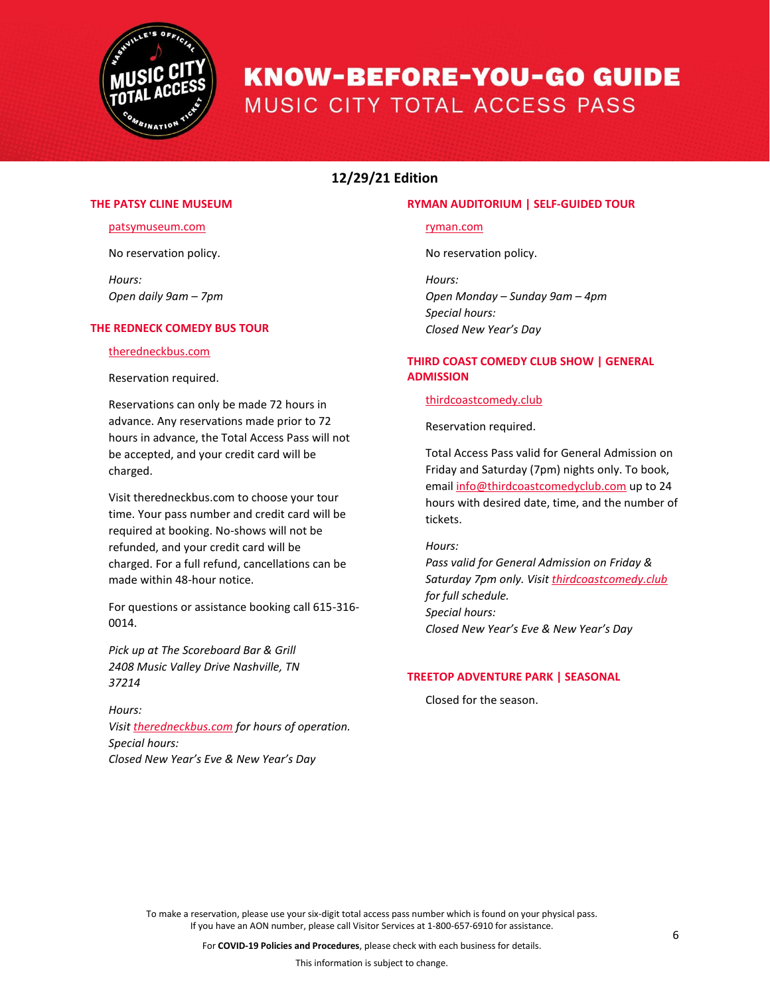

# **12/29/21 Edition**

## **THE PATSY CLINE MUSEUM**

#### [patsymuseum.com](https://www.patsymuseum.com/)

No reservation policy.

*Hours: Open daily 9am – 7pm*

#### **THE REDNECK COMEDY BUS TOUR**

### [theredneckbus.com](https://www.theredneckbus.com/)

Reservation required.

Reservations can only be made 72 hours in advance. Any reservations made prior to 72 hours in advance, the Total Access Pass will not be accepted, and your credit card will be charged.

Visit [theredneckbus.com](https://www.theredneckbus.com/) to choose your tour time. Your pass number and credit card will be required at booking. No-shows will not be refunded, and your credit card will be charged. For a full refund, cancellations can be made within 48-hour notice.

For questions or assistance booking call 615-316- 0014.

*Pick up at The Scoreboard Bar & Grill 2408 Music Valley Drive Nashville, TN 37214*

*Hours: Visit [theredneckbus.com](https://www.theredneckbus.com/) for hours of operation. Special hours: Closed New Year's Eve & New Year's Day*

### **RYMAN AUDITORIUM | SELF-GUIDED TOUR**

#### [ryman.com](https://ryman.com/)

No reservation policy.

*Hours: Open Monday – Sunday 9am – 4pm Special hours: Closed New Year's Day*

# **THIRD COAST COMEDY CLUB SHOW | GENERAL ADMISSION**

#### [thirdcoastcomedy.club](https://www.thirdcoastcomedy.club/)

Reservation required.

Total Access Pass valid for General Admission on Friday and Saturday (7pm) nights only. To book, email [info@thirdcoastcomedyclub.com](mailto:info@thirdcoastcomedyclub.com) up to 24 hours with desired date, time, and the number of tickets.

# *Hours:*

*Pass valid for General Admission on Friday & Saturday 7pm only. Visit [thirdcoastcomedy.club](https://www.thirdcoastcomedy.club/) for full schedule. Special hours: Closed New Year's Eve & New Year's Day*

## **TREETOP ADVENTURE PARK | SEASONAL**

Closed for the season.

To make a reservation, please use your six-digit total access pass number which is found on your physical pass. If you have an AON number, please call Visitor Services at 1-800-657-6910 for assistance.